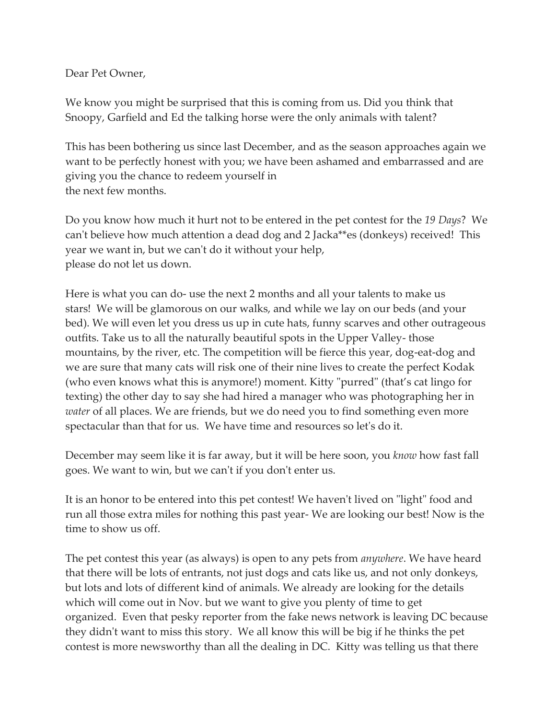Dear Pet Owner,

We know you might be surprised that this is coming from us. Did you think that Snoopy, Garfield and Ed the talking horse were the only animals with talent?

This has been bothering us since last December, and as the season approaches again we want to be perfectly honest with you; we have been ashamed and embarrassed and are giving you the chance to redeem yourself in the next few months.

Do you know how much it hurt not to be entered in the pet contest for the *19 Days*? We can't believe how much attention a dead dog and 2 Jacka\*\*es (donkeys) received! This year we want in, but we can't do it without your help, please do not let us down.

Here is what you can do- use the next 2 months and all your talents to make us stars! We will be glamorous on our walks, and while we lay on our beds (and your bed). We will even let you dress us up in cute hats, funny scarves and other outrageous outfits. Take us to all the naturally beautiful spots in the Upper Valley- those mountains, by the river, etc. The competition will be fierce this year, dog-eat-dog and we are sure that many cats will risk one of their nine lives to create the perfect Kodak (who even knows what this is anymore!) moment. Kitty "purred" (that's cat lingo for texting) the other day to say she had hired a manager who was photographing her in *water* of all places. We are friends, but we do need you to find something even more spectacular than that for us. We have time and resources so let's do it.

December may seem like it is far away, but it will be here soon, you *know* how fast fall goes. We want to win, but we can't if you don't enter us.

It is an honor to be entered into this pet contest! We haven't lived on "light" food and run all those extra miles for nothing this past year- We are looking our best! Now is the time to show us off.

The pet contest this year (as always) is open to any pets from *anywhere*. We have heard that there will be lots of entrants, not just dogs and cats like us, and not only donkeys, but lots and lots of different kind of animals. We already are looking for the details which will come out in Nov. but we want to give you plenty of time to get organized. Even that pesky reporter from the fake news network is leaving DC because they didn't want to miss this story. We all know this will be big if he thinks the pet contest is more newsworthy than all the dealing in DC. Kitty was telling us that there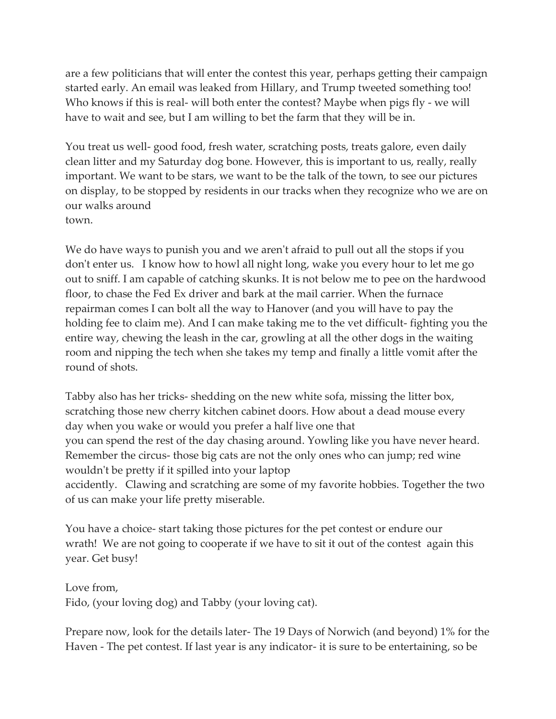are a few politicians that will enter the contest this year, perhaps getting their campaign started early. An email was leaked from Hillary, and Trump tweeted something too! Who knows if this is real- will both enter the contest? Maybe when pigs fly - we will have to wait and see, but I am willing to bet the farm that they will be in.

You treat us well- good food, fresh water, scratching posts, treats galore, even daily clean litter and my Saturday dog bone. However, this is important to us, really, really important. We want to be stars, we want to be the talk of the town, to see our pictures on display, to be stopped by residents in our tracks when they recognize who we are on our walks around town.

We do have ways to punish you and we aren't afraid to pull out all the stops if you don't enter us. I know how to howl all night long, wake you every hour to let me go out to sniff. I am capable of catching skunks. It is not below me to pee on the hardwood floor, to chase the Fed Ex driver and bark at the mail carrier. When the furnace repairman comes I can bolt all the way to Hanover (and you will have to pay the holding fee to claim me). And I can make taking me to the vet difficult- fighting you the entire way, chewing the leash in the car, growling at all the other dogs in the waiting room and nipping the tech when she takes my temp and finally a little vomit after the round of shots.

Tabby also has her tricks- shedding on the new white sofa, missing the litter box, scratching those new cherry kitchen cabinet doors. How about a dead mouse every day when you wake or would you prefer a half live one that you can spend the rest of the day chasing around. Yowling like you have never heard. Remember the circus- those big cats are not the only ones who can jump; red wine wouldn't be pretty if it spilled into your laptop accidently. Clawing and scratching are some of my favorite hobbies. Together the two of us can make your life pretty miserable.

You have a choice- start taking those pictures for the pet contest or endure our wrath! We are not going to cooperate if we have to sit it out of the contest again this year. Get busy!

Love from, Fido, (your loving dog) and Tabby (your loving cat).

Prepare now, look for the details later- The 19 Days of Norwich (and beyond) 1% for the Haven - The pet contest. If last year is any indicator- it is sure to be entertaining, so be